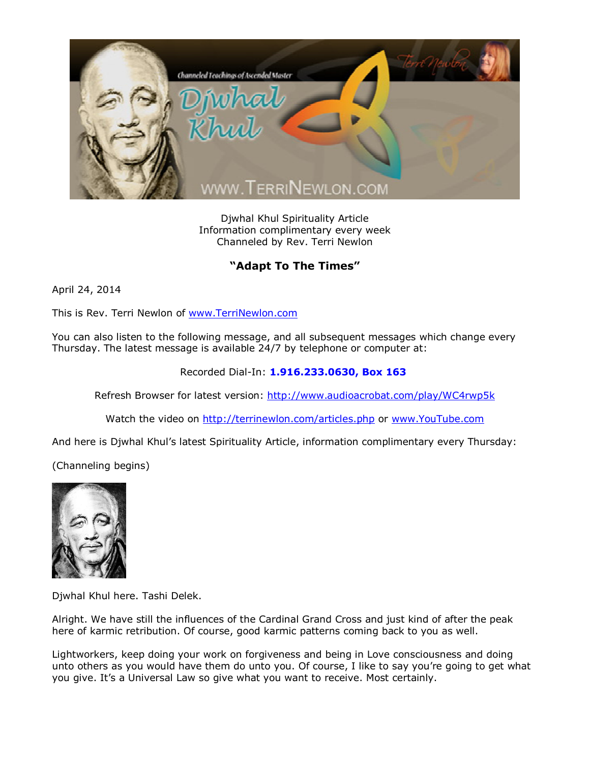

Djwhal Khul Spirituality Article Information complimentary every week Channeled by Rev. Terri Newlon

## **"Adapt To The Times"**

April 24, 2014

This is Rev. Terri Newlon of [www.TerriNewlon.com](http://www.terrinewlon.com/)

You can also listen to the following message, and all subsequent messages which change every Thursday. The latest message is available 24/7 by telephone or computer at:

## Recorded Dial-In: **1.916.233.0630, Box 163**

Refresh Browser for latest version: <http://www.audioacrobat.com/play/WC4rwp5k>

Watch the video on <http://terrinewlon.com/articles.php> or [www.YouTube.com](http://www.youtube.com/)

And here is Djwhal Khul's latest Spirituality Article, information complimentary every Thursday:

(Channeling begins)



Djwhal Khul here. Tashi Delek.

Alright. We have still the influences of the Cardinal Grand Cross and just kind of after the peak here of karmic retribution. Of course, good karmic patterns coming back to you as well.

Lightworkers, keep doing your work on forgiveness and being in Love consciousness and doing unto others as you would have them do unto you. Of course, I like to say you're going to get what you give. It's a Universal Law so give what you want to receive. Most certainly.